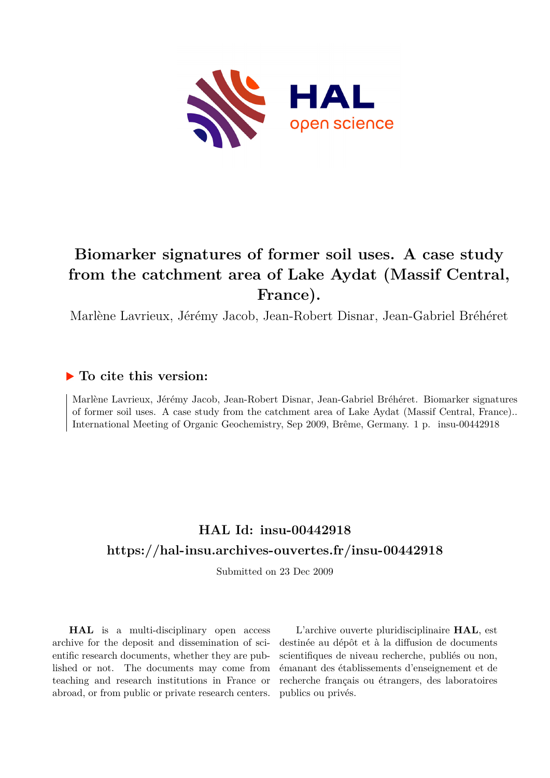

# **Biomarker signatures of former soil uses. A case study from the catchment area of Lake Aydat (Massif Central, France).**

Marlène Lavrieux, Jérémy Jacob, Jean-Robert Disnar, Jean-Gabriel Bréhéret

### **To cite this version:**

Marlène Lavrieux, Jérémy Jacob, Jean-Robert Disnar, Jean-Gabriel Bréhéret. Biomarker signatures of former soil uses. A case study from the catchment area of Lake Aydat (Massif Central, France).. International Meeting of Organic Geochemistry, Sep 2009, Brême, Germany. 1 p. insu-00442918

## **HAL Id: insu-00442918 <https://hal-insu.archives-ouvertes.fr/insu-00442918>**

Submitted on 23 Dec 2009

**HAL** is a multi-disciplinary open access archive for the deposit and dissemination of scientific research documents, whether they are published or not. The documents may come from teaching and research institutions in France or abroad, or from public or private research centers.

L'archive ouverte pluridisciplinaire **HAL**, est destinée au dépôt et à la diffusion de documents scientifiques de niveau recherche, publiés ou non, émanant des établissements d'enseignement et de recherche français ou étrangers, des laboratoires publics ou privés.